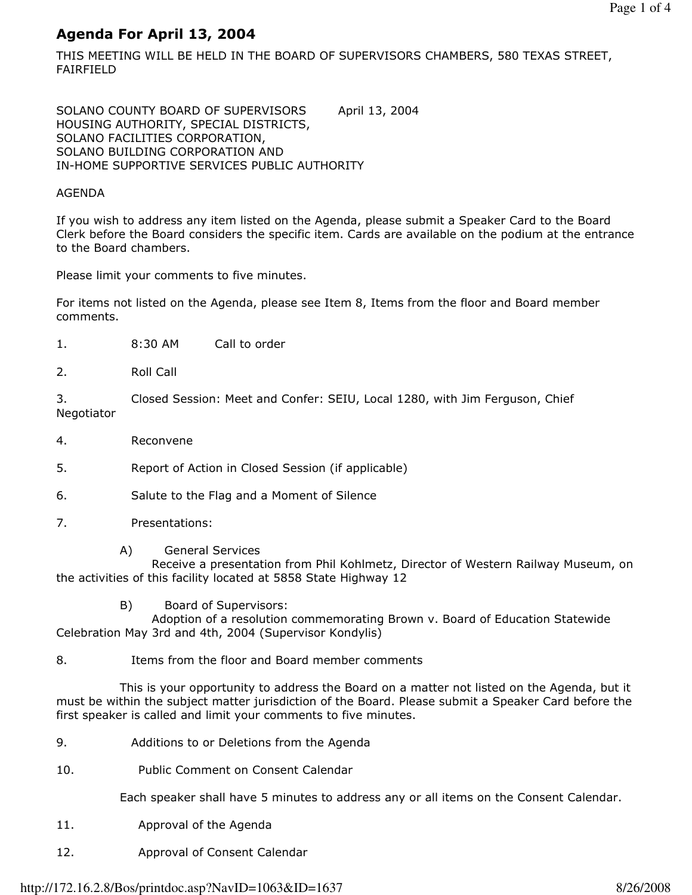# Agenda For April 13, 2004

THIS MEETING WILL BE HELD IN THE BOARD OF SUPERVISORS CHAMBERS, 580 TEXAS STREET, FAIRFIELD

SOLANO COUNTY BOARD OF SUPERVISORS April 13, 2004 HOUSING AUTHORITY, SPECIAL DISTRICTS, SOLANO FACILITIES CORPORATION, SOLANO BUILDING CORPORATION AND IN-HOME SUPPORTIVE SERVICES PUBLIC AUTHORITY

# AGENDA

If you wish to address any item listed on the Agenda, please submit a Speaker Card to the Board Clerk before the Board considers the specific item. Cards are available on the podium at the entrance to the Board chambers.

Please limit your comments to five minutes.

For items not listed on the Agenda, please see Item 8, Items from the floor and Board member comments.

- 1. 8:30 AM Call to order
- 2. Roll Call

3. Closed Session: Meet and Confer: SEIU, Local 1280, with Jim Ferguson, Chief Negotiator

4. Reconvene

5. Report of Action in Closed Session (if applicable)

- 6. Salute to the Flag and a Moment of Silence
- 7. Presentations:
	- A) General Services

 Receive a presentation from Phil Kohlmetz, Director of Western Railway Museum, on the activities of this facility located at 5858 State Highway 12

B) Board of Supervisors:

 Adoption of a resolution commemorating Brown v. Board of Education Statewide Celebration May 3rd and 4th, 2004 (Supervisor Kondylis)

8. Items from the floor and Board member comments

 This is your opportunity to address the Board on a matter not listed on the Agenda, but it must be within the subject matter jurisdiction of the Board. Please submit a Speaker Card before the first speaker is called and limit your comments to five minutes.

- 9. Additions to or Deletions from the Agenda
- 10. Public Comment on Consent Calendar

Each speaker shall have 5 minutes to address any or all items on the Consent Calendar.

- 11. Approval of the Agenda
- 12. Approval of Consent Calendar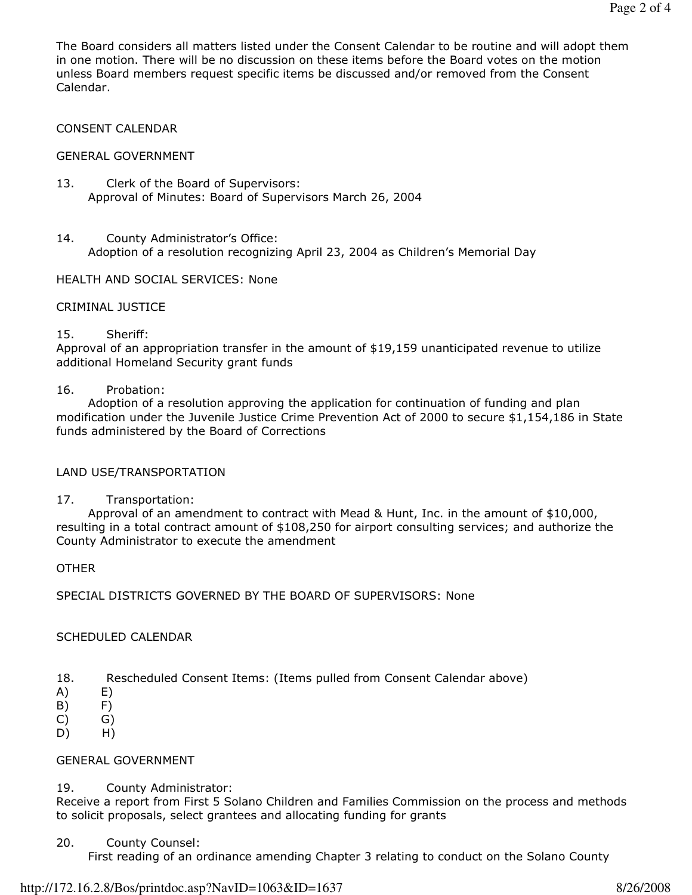The Board considers all matters listed under the Consent Calendar to be routine and will adopt them in one motion. There will be no discussion on these items before the Board votes on the motion unless Board members request specific items be discussed and/or removed from the Consent Calendar.

# CONSENT CALENDAR

# GENERAL GOVERNMENT

- 13. Clerk of the Board of Supervisors: Approval of Minutes: Board of Supervisors March 26, 2004
- 14. County Administrator's Office: Adoption of a resolution recognizing April 23, 2004 as Children's Memorial Day

# HEALTH AND SOCIAL SERVICES: None

# CRIMINAL JUSTICE

#### 15. Sheriff:

Approval of an appropriation transfer in the amount of \$19,159 unanticipated revenue to utilize additional Homeland Security grant funds

#### 16. Probation:

 Adoption of a resolution approving the application for continuation of funding and plan modification under the Juvenile Justice Crime Prevention Act of 2000 to secure \$1,154,186 in State funds administered by the Board of Corrections

# LAND USE/TRANSPORTATION

# 17. Transportation:

 Approval of an amendment to contract with Mead & Hunt, Inc. in the amount of \$10,000, resulting in a total contract amount of \$108,250 for airport consulting services; and authorize the County Administrator to execute the amendment

# **OTHER**

SPECIAL DISTRICTS GOVERNED BY THE BOARD OF SUPERVISORS: None

# SCHEDULED CALENDAR

- 18. Rescheduled Consent Items: (Items pulled from Consent Calendar above)
- $(A)$   $E)$
- B) F)
- C) G)
- D) H)

# GENERAL GOVERNMENT

# 19. County Administrator:

Receive a report from First 5 Solano Children and Families Commission on the process and methods to solicit proposals, select grantees and allocating funding for grants

20. County Counsel:

First reading of an ordinance amending Chapter 3 relating to conduct on the Solano County

#### http://172.16.2.8/Bos/printdoc.asp?NavID=1063&ID=1637 8/26/2008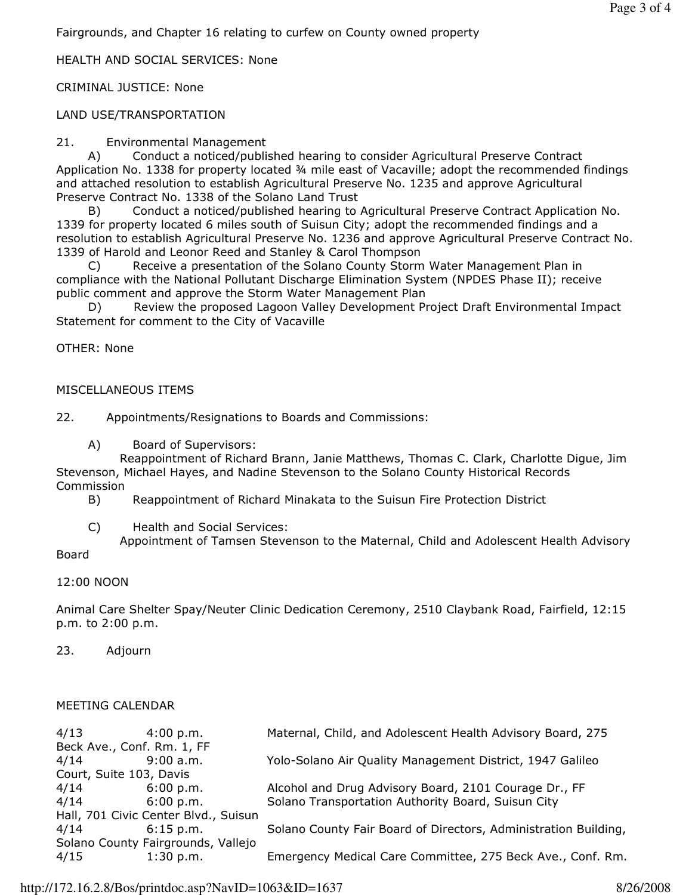Fairgrounds, and Chapter 16 relating to curfew on County owned property

# HEALTH AND SOCIAL SERVICES: None

CRIMINAL JUSTICE: None

# LAND USE/TRANSPORTATION

21. Environmental Management

 A) Conduct a noticed/published hearing to consider Agricultural Preserve Contract Application No. 1338 for property located ¾ mile east of Vacaville; adopt the recommended findings and attached resolution to establish Agricultural Preserve No. 1235 and approve Agricultural Preserve Contract No. 1338 of the Solano Land Trust

 B) Conduct a noticed/published hearing to Agricultural Preserve Contract Application No. 1339 for property located 6 miles south of Suisun City; adopt the recommended findings and a resolution to establish Agricultural Preserve No. 1236 and approve Agricultural Preserve Contract No. 1339 of Harold and Leonor Reed and Stanley & Carol Thompson

 C) Receive a presentation of the Solano County Storm Water Management Plan in compliance with the National Pollutant Discharge Elimination System (NPDES Phase II); receive public comment and approve the Storm Water Management Plan

Review the proposed Lagoon Valley Development Project Draft Environmental Impact Statement for comment to the City of Vacaville

OTHER: None

#### MISCELLANEOUS ITEMS

22. Appointments/Resignations to Boards and Commissions:

A) Board of Supervisors:

 Reappointment of Richard Brann, Janie Matthews, Thomas C. Clark, Charlotte Digue, Jim Stevenson, Michael Hayes, and Nadine Stevenson to the Solano County Historical Records Commission

B) Reappointment of Richard Minakata to the Suisun Fire Protection District

C) Health and Social Services:

 Appointment of Tamsen Stevenson to the Maternal, Child and Adolescent Health Advisory Board

#### 12:00 NOON

Animal Care Shelter Spay/Neuter Clinic Dedication Ceremony, 2510 Claybank Road, Fairfield, 12:15 p.m. to 2:00 p.m.

23. Adjourn

#### MEETING CALENDAR

| 4/13                                 | $4:00\;{\rm p.m.}$ | Maternal, Child, and Adolescent Health Advisory Board, 275      |
|--------------------------------------|--------------------|-----------------------------------------------------------------|
| Beck Ave., Conf. Rm. 1, FF           |                    |                                                                 |
| 4/14                                 | 9:00 a.m.          | Yolo-Solano Air Quality Management District, 1947 Galileo       |
| Court, Suite 103, Davis              |                    |                                                                 |
| 4/14                                 | 6:00 p.m.          | Alcohol and Drug Advisory Board, 2101 Courage Dr., FF           |
| 4/14                                 | 6:00 p.m.          | Solano Transportation Authority Board, Suisun City              |
| Hall, 701 Civic Center Blvd., Suisun |                    |                                                                 |
| 4/14                                 | $6:15$ p.m.        | Solano County Fair Board of Directors, Administration Building, |
| Solano County Fairgrounds, Vallejo   |                    |                                                                 |
| 4/15                                 | 1:30 p.m.          | Emergency Medical Care Committee, 275 Beck Ave., Conf. Rm.      |
|                                      |                    |                                                                 |